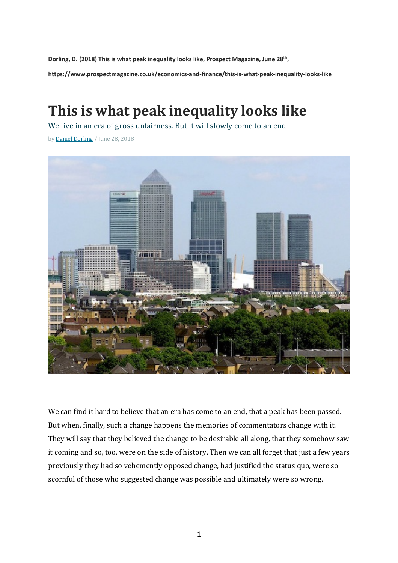**Dorling, D. (2018) This is what peak inequality looks like, Prospect Magazine, June 28th, https://www.prospectmagazine.co.uk/economics-and-finance/this-is-what-peak-inequality-looks-like**

## **This is what peak inequality looks like**

We live in an era of gross unfairness. But it will slowly come to an end

by Daniel Dorling / June 28, 2018



We can find it hard to believe that an era has come to an end, that a peak has been passed. But when, finally, such a change happens the memories of commentators change with it. They will say that they believed the change to be desirable all along, that they somehow saw it coming and so, too, were on the side of history. Then we can all forget that just a few years previously they had so vehemently opposed change, had justified the status quo, were so scornful of those who suggested change was possible and ultimately were so wrong.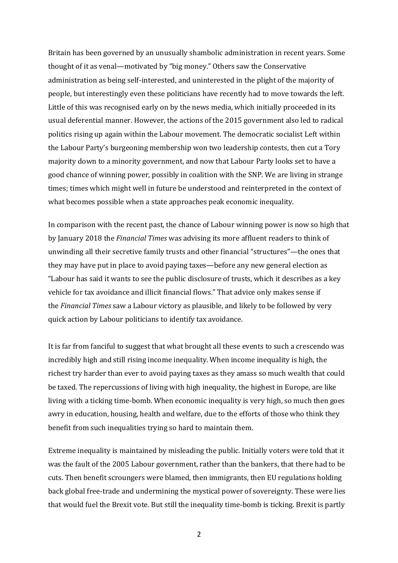Britain has been governed by an unusually shambolic administration in recent years. Some thought of it as venal—motivated by "big money." Others saw the Conservative administration as being self-interested, and uninterested in the plight of the majority of people, but interestingly even these politicians have recently had to move towards the left. Little of this was recognised early on by the news media, which initially proceeded in its usual deferential manner. However, the actions of the 2015 government also led to radical politics rising up again within the Labour movement. The democratic socialist Left within the Labour Party's burgeoning membership won two leadership contests, then cut a Tory majority down to a minority government, and now that Labour Party looks set to have a good chance of winning power, possibly in coalition with the SNP. We are living in strange times; times which might well in future be understood and reinterpreted in the context of what becomes possible when a state approaches peak economic inequality.

In comparison with the recent past, the chance of Labour winning power is now so high that by January 2018 the *Financial Times* was advising its more affluent readers to think of unwinding all their secretive family trusts and other financial "structures"—the ones that they may have put in place to avoid paying taxes—before any new general election as "Labour has said it wants to see the public disclosure of trusts, which it describes as a key vehicle for tax avoidance and illicit financial flows." That advice only makes sense if the *Financial Times* saw a Labour victory as plausible, and likely to be followed by very quick action by Labour politicians to identify tax avoidance.

It is far from fanciful to suggest that what brought all these events to such a crescendo was incredibly high and still rising income inequality. When income inequality is high, the richest try harder than ever to avoid paying taxes as they amass so much wealth that could be taxed. The repercussions of living with high inequality, the highest in Europe, are like living with a ticking time-bomb. When economic inequality is very high, so much then goes awry in education, housing, health and welfare, due to the efforts of those who think they benefit from such inequalities trying so hard to maintain them.

Extreme inequality is maintained by misleading the public. Initially voters were told that it was the fault of the 2005 Labour government, rather than the bankers, that there had to be cuts. Then benefit scroungers were blamed, then immigrants, then EU regulations holding back global free-trade and undermining the mystical power of sovereignty. These were lies that would fuel the Brexit vote. But still the inequality time-bomb is ticking. Brexit is partly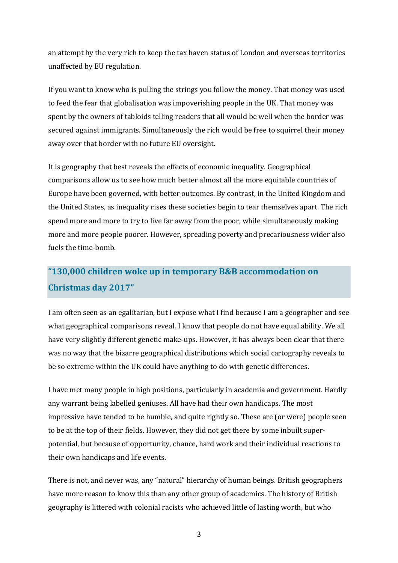an attempt by the very rich to keep the tax haven status of London and overseas territories unaffected by EU regulation.

If you want to know who is pulling the strings you follow the money. That money was used to feed the fear that globalisation was impoverishing people in the UK. That money was spent by the owners of tabloids telling readers that all would be well when the border was secured against immigrants. Simultaneously the rich would be free to squirrel their money away over that border with no future EU oversight.

It is geography that best reveals the effects of economic inequality. Geographical comparisons allow us to see how much better almost all the more equitable countries of Europe have been governed, with better outcomes. By contrast, in the United Kingdom and the United States, as inequality rises these societies begin to tear themselves apart. The rich spend more and more to try to live far away from the poor, while simultaneously making more and more people poorer. However, spreading poverty and precariousness wider also fuels the time-bomb.

## **"130,000 children woke up in temporary B&B accommodation on Christmas day 2017"**

I am often seen as an egalitarian, but I expose what I find because I am a geographer and see what geographical comparisons reveal. I know that people do not have equal ability. We all have very slightly different genetic make-ups. However, it has always been clear that there was no way that the bizarre geographical distributions which social cartography reveals to be so extreme within the UK could have anything to do with genetic differences.

I have met many people in high positions, particularly in academia and government. Hardly any warrant being labelled geniuses. All have had their own handicaps. The most impressive have tended to be humble, and quite rightly so. These are (or were) people seen to be at the top of their fields. However, they did not get there by some inbuilt superpotential, but because of opportunity, chance, hard work and their individual reactions to their own handicaps and life events.

There is not, and never was, any "natural" hierarchy of human beings. British geographers have more reason to know this than any other group of academics. The history of British geography is littered with colonial racists who achieved little of lasting worth, but who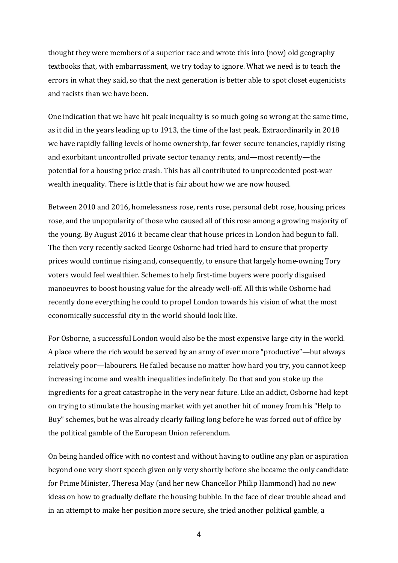thought they were members of a superior race and wrote this into (now) old geography textbooks that, with embarrassment, we try today to ignore. What we need is to teach the errors in what they said, so that the next generation is better able to spot closet eugenicists and racists than we have been.

One indication that we have hit peak inequality is so much going so wrong at the same time, as it did in the years leading up to 1913, the time of the last peak. Extraordinarily in 2018 we have rapidly falling levels of home ownership, far fewer secure tenancies, rapidly rising and exorbitant uncontrolled private sector tenancy rents, and—most recently—the potential for a housing price crash. This has all contributed to unprecedented post-war wealth inequality. There is little that is fair about how we are now housed.

Between 2010 and 2016, homelessness rose, rents rose, personal debt rose, housing prices rose, and the unpopularity of those who caused all of this rose among a growing majority of the young. By August 2016 it became clear that house prices in London had begun to fall. The then very recently sacked George Osborne had tried hard to ensure that property prices would continue rising and, consequently, to ensure that largely home-owning Tory voters would feel wealthier. Schemes to help first-time buyers were poorly disguised manoeuvres to boost housing value for the already well-off. All this while Osborne had recently done everything he could to propel London towards his vision of what the most economically successful city in the world should look like.

For Osborne, a successful London would also be the most expensive large city in the world. A place where the rich would be served by an army of ever more "productive"—but always relatively poor—labourers. He failed because no matter how hard you try, you cannot keep increasing income and wealth inequalities indefinitely. Do that and you stoke up the ingredients for a great catastrophe in the very near future. Like an addict, Osborne had kept on trying to stimulate the housing market with yet another hit of money from his "Help to Buy" schemes, but he was already clearly failing long before he was forced out of office by the political gamble of the European Union referendum.

On being handed office with no contest and without having to outline any plan or aspiration beyond one very short speech given only very shortly before she became the only candidate for Prime Minister, Theresa May (and her new Chancellor Philip Hammond) had no new ideas on how to gradually deflate the housing bubble. In the face of clear trouble ahead and in an attempt to make her position more secure, she tried another political gamble, a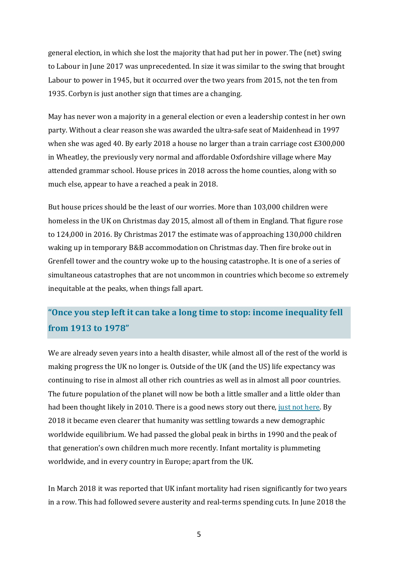general election, in which she lost the majority that had put her in power. The (net) swing to Labour in June 2017 was unprecedented. In size it was similar to the swing that brought Labour to power in 1945, but it occurred over the two years from 2015, not the ten from 1935. Corbyn is just another sign that times are a changing.

May has never won a majority in a general election or even a leadership contest in her own party. Without a clear reason she was awarded the ultra-safe seat of Maidenhead in 1997 when she was aged 40. By early 2018 a house no larger than a train carriage cost  $£300,000$ in Wheatley, the previously very normal and affordable Oxfordshire village where May attended grammar school. House prices in 2018 across the home counties, along with so much else, appear to have a reached a peak in 2018.

But house prices should be the least of our worries. More than 103,000 children were homeless in the UK on Christmas day 2015, almost all of them in England. That figure rose to 124,000 in 2016. By Christmas 2017 the estimate was of approaching 130,000 children waking up in temporary B&B accommodation on Christmas day. Then fire broke out in Grenfell tower and the country woke up to the housing catastrophe. It is one of a series of simultaneous catastrophes that are not uncommon in countries which become so extremely inequitable at the peaks, when things fall apart.

## **"Once you step left it can take a long time to stop: income inequality fell from 1913 to 1978"**

We are already seven years into a health disaster, while almost all of the rest of the world is making progress the UK no longer is. Outside of the UK (and the US) life expectancy was continuing to rise in almost all other rich countries as well as in almost all poor countries. The future population of the planet will now be both a little smaller and a little older than had been thought likely in 2010. There is a good news story out there, just not here. By 2018 it became even clearer that humanity was settling towards a new demographic worldwide equilibrium. We had passed the global peak in births in 1990 and the peak of that generation's own children much more recently. Infant mortality is plummeting worldwide, and in every country in Europe; apart from the UK.

In March 2018 it was reported that UK infant mortality had risen significantly for two vears in a row. This had followed severe austerity and real-terms spending cuts. In June 2018 the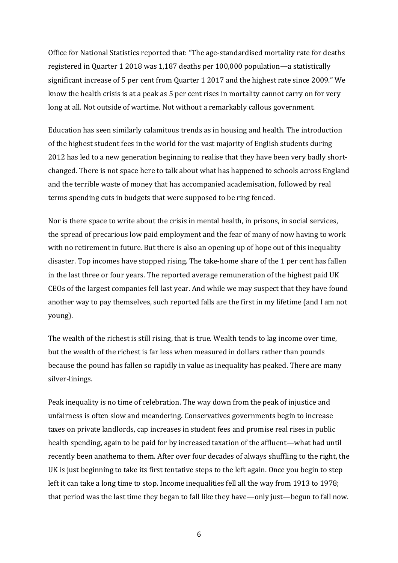Office for National Statistics reported that: "The age-standardised mortality rate for deaths registered in Quarter 1 2018 was 1,187 deaths per 100,000 population—a statistically significant increase of 5 per cent from Quarter 1 2017 and the highest rate since 2009." We know the health crisis is at a peak as 5 per cent rises in mortality cannot carry on for very long at all. Not outside of wartime. Not without a remarkably callous government.

Education has seen similarly calamitous trends as in housing and health. The introduction of the highest student fees in the world for the vast majority of English students during 2012 has led to a new generation beginning to realise that they have been very badly shortchanged. There is not space here to talk about what has happened to schools across England and the terrible waste of money that has accompanied academisation, followed by real terms spending cuts in budgets that were supposed to be ring fenced.

Nor is there space to write about the crisis in mental health, in prisons, in social services, the spread of precarious low paid employment and the fear of many of now having to work with no retirement in future. But there is also an opening up of hope out of this inequality disaster. Top incomes have stopped rising. The take-home share of the 1 per cent has fallen in the last three or four vears. The reported average remuneration of the highest paid UK CEOs of the largest companies fell last year. And while we may suspect that they have found another way to pay themselves, such reported falls are the first in my lifetime (and I am not young).

The wealth of the richest is still rising, that is true. Wealth tends to lag income over time, but the wealth of the richest is far less when measured in dollars rather than pounds because the pound has fallen so rapidly in value as inequality has peaked. There are many silver-linings.

Peak inequality is no time of celebration. The way down from the peak of injustice and unfairness is often slow and meandering. Conservatives governments begin to increase taxes on private landlords, cap increases in student fees and promise real rises in public health spending, again to be paid for by increased taxation of the affluent—what had until recently been anathema to them. After over four decades of always shuffling to the right, the UK is just beginning to take its first tentative steps to the left again. Once you begin to step left it can take a long time to stop. Income inequalities fell all the way from 1913 to 1978; that period was the last time they began to fall like they have—only just—begun to fall now.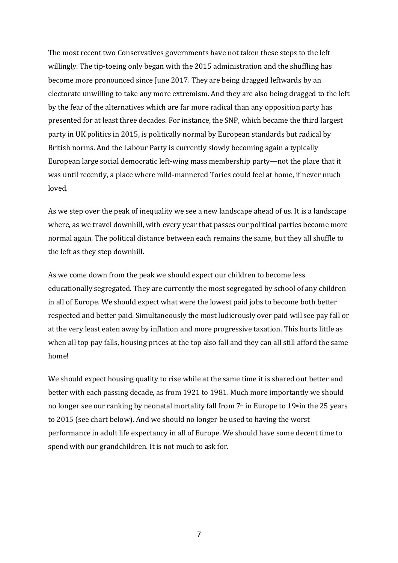The most recent two Conservatives governments have not taken these steps to the left willingly. The tip-toeing only began with the 2015 administration and the shuffling has become more pronounced since June 2017. They are being dragged leftwards by an electorate unwilling to take any more extremism. And they are also being dragged to the left by the fear of the alternatives which are far more radical than any opposition party has presented for at least three decades. For instance, the SNP, which became the third largest party in UK politics in 2015, is politically normal by European standards but radical by British norms. And the Labour Party is currently slowly becoming again a typically European large social democratic left-wing mass membership party—not the place that it was until recently, a place where mild-mannered Tories could feel at home, if never much loved.

As we step over the peak of inequality we see a new landscape ahead of us. It is a landscape where, as we travel downhill, with every year that passes our political parties become more normal again. The political distance between each remains the same, but they all shuffle to the left as they step downhill.

As we come down from the peak we should expect our children to become less educationally segregated. They are currently the most segregated by school of any children in all of Europe. We should expect what were the lowest paid jobs to become both better respected and better paid. Simultaneously the most ludicrously over paid will see pay fall or at the very least eaten away by inflation and more progressive taxation. This hurts little as when all top pay falls, housing prices at the top also fall and they can all still afford the same home!

We should expect housing quality to rise while at the same time it is shared out better and better with each passing decade, as from 1921 to 1981. Much more importantly we should no longer see our ranking by neonatal mortality fall from  $7<sup>th</sup>$  in Europe to 19<sup>th</sup> in the 25 years to 2015 (see chart below). And we should no longer be used to having the worst performance in adult life expectancy in all of Europe. We should have some decent time to spend with our grandchildren. It is not much to ask for.